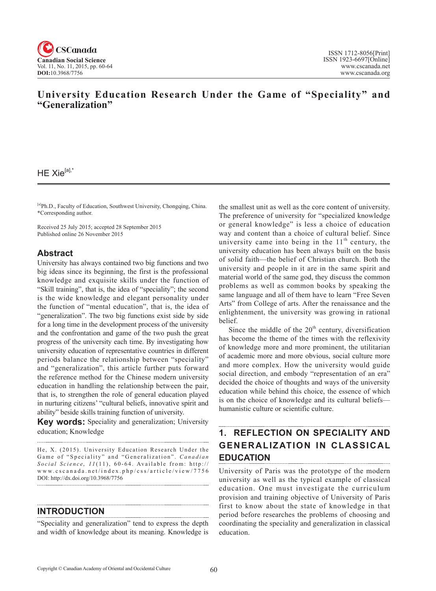

# **University Education Research Under the Game of "Speciality" and "Generalization"**

### $HE Xie^{[a],*}$

[a]Ph.D., Faculty of Education, Southwest University, Chongqing, China. \*Corresponding author.

Received 25 July 2015; accepted 28 September 2015 Published online 26 November 2015

## **Abstract**

University has always contained two big functions and two big ideas since its beginning, the first is the professional knowledge and exquisite skills under the function of "Skill training", that is, the idea of "speciality"; the second is the wide knowledge and elegant personality under the function of "mental education", that is, the idea of "generalization". The two big functions exist side by side for a long time in the development process of the university and the confrontation and game of the two push the great progress of the university each time. By investigating how university education of representative countries in different periods balance the relationship between "speciality" and "generalization", this article further puts forward the reference method for the Chinese modern university education in handling the relationship between the pair, that is, to strengthen the role of general education played in nurturing citizens' "cultural beliefs, innovative spirit and ability" beside skills training function of university.

**Key words:** Speciality and generalization; University education; Knowledge

He, X. (2015). University Education Research Under the Game of "Speciality" and "Generalization". *Canadian Social Science*, <sup>11</sup> (11), 60-64 . Available from: http:// www.cscanada.net/index.php/css/article/view/7756 DOI: http://dx.doi.org/10.3968/7756 

## **INTRODUCTION**

"Speciality and generalization" tend to express the depth and width of knowledge about its meaning. Knowledge is the smallest unit as well as the core content of university. The preference of university for "specialized knowledge or general knowledge" is less a choice of education way and content than a choice of cultural belief. Since university came into being in the  $11<sup>th</sup>$  century, the university education has been always built on the basis of solid faith—the belief of Christian church. Both the university and people in it are in the same spirit and material world of the same god, they discuss the common problems as well as common books by speaking the same language and all of them have to learn "Free Seven Arts" from College of arts. After the renaissance and the enlightenment, the university was growing in rational belief.

Since the middle of the  $20<sup>th</sup>$  century, diversification has become the theme of the times with the reflexivity of knowledge more and more prominent, the utilitarian of academic more and more obvious, social culture more and more complex. How the university would guide social direction, and embody "representation of an era" decided the choice of thoughts and ways of the university education while behind this choice, the essence of which is on the choice of knowledge and its cultural beliefs humanistic culture or scientific culture.

# **1. REFLECTION ON SPECIALITY AND GENERALIZATION IN CLASSICAL EDUCATION**

University of Paris was the prototype of the modern university as well as the typical example of classical education. One must investigate the curriculum provision and training objective of University of Paris first to know about the state of knowledge in that period before researches the problems of choosing and coordinating the speciality and generalization in classical education.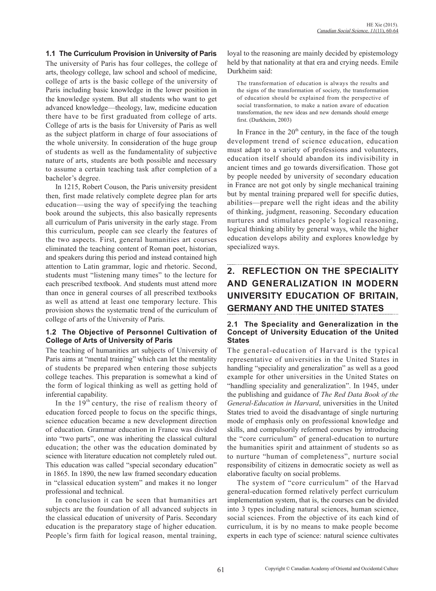### **1.1 The Curriculum Provision in University of Paris**

The university of Paris has four colleges, the college of arts, theology college, law school and school of medicine, college of arts is the basic college of the university of Paris including basic knowledge in the lower position in the knowledge system. But all students who want to get advanced knowledge—theology, law, medicine education there have to be first graduated from college of arts. College of arts is the basis for University of Paris as well as the subject platform in charge of four associations of the whole university. In consideration of the huge group of students as well as the fundamentality of subjective nature of arts, students are both possible and necessary to assume a certain teaching task after completion of a bachelor's degree.

In 1215, Robert Couson, the Paris university president then, first made relatively complete degree plan for arts education—using the way of specifying the teaching book around the subjects, this also basically represents all curriculum of Paris university in the early stage. From this curriculum, people can see clearly the features of the two aspects. First, general humanities art courses eliminated the teaching content of Roman poet, historian, and speakers during this period and instead contained high attention to Latin grammar, logic and rhetoric. Second, students must "listening many times" to the lecture for each prescribed textbook. And students must attend more than once in general courses of all prescribed textbooks as well as attend at least one temporary lecture. This provision shows the systematic trend of the curriculum of college of arts of the University of Paris.

#### **1.2 The Objective of Personnel Cultivation of College of Arts of University of Paris**

The teaching of humanities art subjects of University of Paris aims at "mental training" which can let the mentality of students be prepared when entering those subjects college teaches. This preparation is somewhat a kind of the form of logical thinking as well as getting hold of inferential capability.

In the  $19<sup>th</sup>$  century, the rise of realism theory of education forced people to focus on the specific things, science education became a new development direction of education. Grammar education in France was divided into "two parts", one was inheriting the classical cultural education; the other was the education dominated by science with literature education not completely ruled out. This education was called "special secondary education" in 1865. In 1890, the new law framed secondary education in "classical education system" and makes it no longer professional and technical.

In conclusion it can be seen that humanities art subjects are the foundation of all advanced subjects in the classical education of university of Paris. Secondary education is the preparatory stage of higher education. People's firm faith for logical reason, mental training,

loyal to the reasoning are mainly decided by epistemology held by that nationality at that era and crying needs. Emile Durkheim said:

The transformation of education is always the results and the signs of the transformation of society, the transformation of education should be explained from the perspective of social transformation, to make a nation aware of education transformation, the new ideas and new demands should emerge first. (Durkheim, 2003)

In France in the  $20<sup>th</sup>$  century, in the face of the tough development trend of science education, education must adapt to a variety of professions and volunteers, education itself should abandon its indivisibility in ancient times and go towards diversification. Those got by people needed by university of secondary education in France are not got only by single mechanical training but by mental training prepared well for specific duties, abilities—prepare well the right ideas and the ability of thinking, judgment, reasoning. Secondary education nurtures and stimulates people's logical reasoning, logical thinking ability by general ways, while the higher education develops ability and explores knowledge by specialized ways.

# **2. REFLECTION ON THE SPECIALITY AND GENERALIZATION IN MODERN UNIVERSITY EDUCATION OF BRITAIN, GERMANY AND THE UNITED STATES**

#### **2.1 The Speciality and Generalization in the Concept of University Education of the United States**

The general-education of Harvard is the typical representative of universities in the United States in handling "speciality and generalization" as well as a good example for other universities in the United States on "handling speciality and generalization". In 1945, under the publishing and guidance of *The Red Data Book of the General-Education in Harvard*, universities in the United States tried to avoid the disadvantage of single nurturing mode of emphasis only on professional knowledge and skills, and compulsorily reformed courses by introducing the "core curriculum" of general-education to nurture the humanities spirit and attainment of students so as to nurture "human of completeness", nurture social responsibility of citizens in democratic society as well as elaborative faculty on social problems.

The system of "core curriculum" of the Harvad general-education formed relatively perfect curriculum implementation system, that is, the courses can be divided into 3 types including natural sciences, human science, social sciences. From the objective of its each kind of curriculum, it is by no means to make people become experts in each type of science: natural science cultivates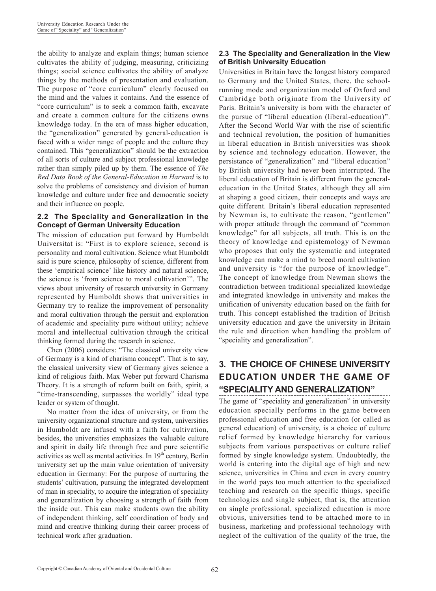the ability to analyze and explain things; human science cultivates the ability of judging, measuring, criticizing things; social science cultivates the ability of analyze things by the methods of presentation and evaluation. The purpose of "core curriculum" clearly focused on the mind and the values it contains. And the essence of "core curriculum" is to seek a common faith, excavate and create a common culture for the citizens owns knowledge today. In the era of mass higher education, the "generalization" generated by general-education is faced with a wider range of people and the culture they contained. This "generalization" should be the extraction of all sorts of culture and subject professional knowledge rather than simply piled up by them. The essence of *The Red Data Book of the General-Education in Harvard* is to solve the problems of consistency and division of human knowledge and culture under free and democratic society and their influence on people.

### **2.2 The Speciality and Generalization in the Concept of German University Education**

The mission of education put forward by Humboldt Universitat is: "First is to explore science, second is personality and moral cultivation. Science what Humboldt said is pure science, philosophy of science, different from these 'empirical science' like history and natural science, the science is 'from science to moral cultivation'". The views about university of research university in Germany represented by Humboldt shows that universities in Germany try to realize the improvement of personality and moral cultivation through the persuit and exploration of academic and speciality pure without utility; achieve moral and intellectual cultivation through the critical thinking formed during the research in science.

Chen (2006) considers: "The classical university view of Germany is a kind of charisma concept". That is to say, the classical university view of Germany gives science a kind of religious faith. Max Weber put forward Charisma Theory. It is a strength of reform built on faith, spirit, a "time-transcending, surpasses the worldly" ideal type leader or system of thought.

No matter from the idea of university, or from the university organizational structure and system, universities in Humboldt are infused with a faith for cultivation, besides, the universities emphasizes the valuable culture and spirit in daily life through free and pure scientific activities as well as mental activities. In 19<sup>th</sup> century, Berlin university set up the main value orientation of university education in Germany: For the purpose of nurturing the students' cultivation, pursuing the integrated development of man in speciality, to acquire the integration of speciality and generalization by choosing a strength of faith from the inside out. This can make students own the ability of independent thinking, self coordination of body and mind and creative thinking during their career process of technical work after graduation.

### **2.3 The Speciality and Generalization in the View of British University Education**

Universities in Britain have the longest history compared to Germany and the United States, there, the schoolrunning mode and organization model of Oxford and Cambridge both originate from the University of Paris. Britain's university is born with the character of the pursue of "liberal education (liberal-education)". After the Second World War with the rise of scientific and technical revolution, the position of humanities in liberal education in British universities was shook by science and technology education. However, the persistance of "generalization" and "liberal education" by British university had never been interrupted. The liberal education of Britain is different from the generaleducation in the United States, although they all aim at shaping a good citizen, their concepts and ways are quite different. Britain's liberal education represented by Newman is, to cultivate the reason, "gentlemen" with proper attitude through the command of "common knowledge" for all subjects, all truth. This is on the theory of knowledge and epistemology of Newman who proposes that only the systematic and integrated knowledge can make a mind to breed moral cultivation and university is "for the purpose of knowledge". The concept of knowledge from Newman shows the contradiction between traditional specialized knowledge and integrated knowledge in university and makes the unification of university education based on the faith for truth. This concept established the tradition of British university education and gave the university in Britain the rule and direction when handling the problem of "speciality and generalization".

# **3. THE CHOICE OF CHINESE UNIVERSITY EDUCATION UNDER THE GAME OF "SPECIALITY AND GENERALIZATION"**

The game of "speciality and generalization" in university education specially performs in the game between professional education and free education (or called as general education) of university, is a choice of culture relief formed by knowledge hierarchy for various subjects from various perspectives or culture relief formed by single knowledge system. Undoubtedly, the world is entering into the digital age of high and new science, universities in China and even in every country in the world pays too much attention to the specialized teaching and research on the specific things, specific technologies and single subject, that is, the attention on single professional, specialized education is more obvious, universities tend to be attached more to in business, marketing and professional technology with neglect of the cultivation of the quality of the true, the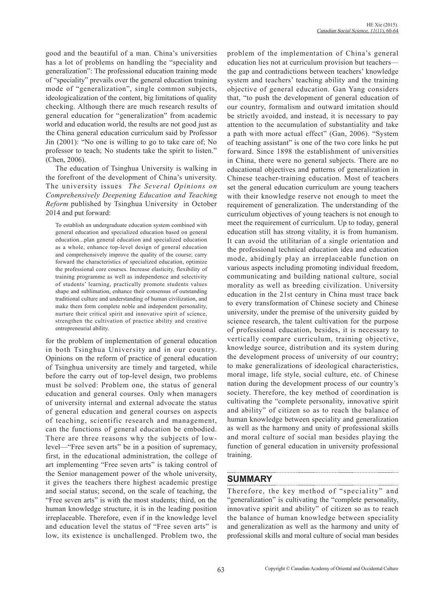good and the beautiful of a man. China's universities has a lot of problems on handling the "speciality and generalization": The professional education training mode of "speciality" prevails over the general education training mode of "generalization", single common subjects, ideologicalization of the content, big limitations of quality checking. Although there are much research results of general education for "generalization" from academic world and education world, the results are not good just as the China general education curriculum said by Professor Jin (2001): "No one is willing to go to take care of; No professor to teach; No students take the spirit to listen." (Chen, 2006).

The education of Tsinghua University is walking in the forefront of the development of China's university. The university issues *The Several Opinions on Comprehensively Deepening Education and Teaching Reform* published by Tsinghua University in October 2014 and put forward:

To establish an undergraduate education system combined with general education and specialized education based on general education...plan general education and specialized education as a whole, enhance top-level design of general education and comprehensively improve the quality of the course; carry forward the characteristics of specialized education, optimize the professional core courses. Increase elasticity, flexibility of training programme as well as independence and selectivity of students' learning, practically promote students values shape and sublimation, enhance their consensus of outstanding traditional culture and understanding of human civilization, and make them form complete noble and independent personality, nurture their critical spirit and innovative spirit of science, strengthen the cultivation of practice ability and creative entrepreneurial ability.

for the problem of implementation of general education in both Tsinghua University and in our country. Opinions on the reform of practice of general education of Tsinghua university are timely and targeted, while before the carry out of top-level design, two problems must be solved: Problem one, the status of general education and general courses. Only when managers of university internal and external advocate the status of general education and general courses on aspects of teaching, scientific research and management, can the functions of general education be embodied. There are three reasons why the subjects of lowlevel—"Free seven arts" be in a position of supremacy, first, in the educational administration, the college of art implementing "Free seven arts" is taking control of the Senior management power of the whole university, it gives the teachers there highest academic prestige and social status; second, on the scale of teaching, the "Free seven arts" is with the most students; third, on the human knowledge structure, it is in the leading position irreplaceable. Therefore, even if in the knowledge level and education level the status of "Free seven arts" is low, its existence is unchallenged. Problem two, the problem of the implementation of China's general education lies not at curriculum provision but teachers the gap and contradictions between teachers' knowledge system and teachers' teaching ability and the training objective of general education. Gan Yang considers that, "to push the development of general education of our country, formalism and outward imitation should be strictly avoided, and instead, it is necessary to pay attention to the accumulation of substantiality and take a path with more actual effect" (Gan, 2006). "System of teaching assistant" is one of the two core links he put forward. Since 1898 the establishment of universities in China, there were no general subjects. There are no educational objectives and patterns of generalization in Chinese teacher-training education. Most of teachers set the general education curriculum are young teachers with their knowledge reserve not enough to meet the requirement of generalization. The understanding of the curriculum objectives of young teachers is not enough to meet the requirement of curriculum. Up to today, general education still has strong vitality, it is from humanism. It can avoid the utilitarian of a single orientation and the professional technical education idea and education mode, abidingly play an irreplaceable function on various aspects including promoting individual freedom, communicating and building national culture, social morality as well as breeding civilization. University education in the 21st century in China must trace back to every transformation of Chinese society and Chinese university, under the premise of the university guided by science research, the talent cultivation for the purpose of professional education, besides, it is necessary to vertically compare curriculum, training objective, knowledge source, distribution and its system during the development process of university of our country; to make generalizations of ideological characteristics, moral image, life style, social culture, etc. of Chinese nation during the development process of our country's society. Therefore, the key method of coordination is cultivating the "complete personality, innovative spirit and ability" of citizen so as to reach the balance of human knowledge between speciality and generalization as well as the harmony and unity of professional skills and moral culture of social man besides playing the function of general education in university professional training.

# **SUMMARY**

Therefore, the key method of "speciality" and "generalization" is cultivating the "complete personality, innovative spirit and ability" of citizen so as to reach the balance of human knowledge between speciality and generalization as well as the harmony and unity of professional skills and moral culture of social man besides